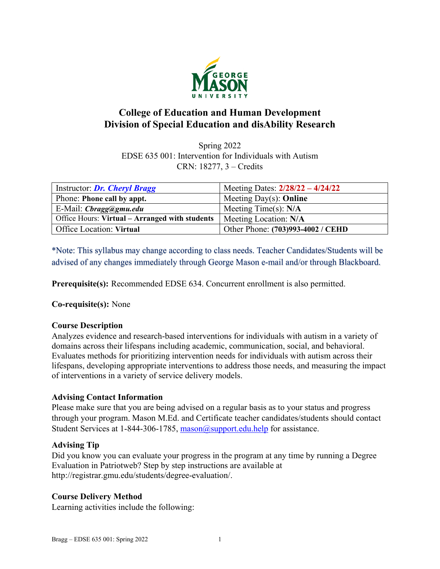

# **College of Education and Human Development Division of Special Education and disAbility Research**

Spring 2022 EDSE 635 001: Intervention for Individuals with Autism CRN: 18277, 3 – Credits

| Instructor: Dr. Cheryl Bragg                   | Meeting Dates: 2/28/22 - 4/24/22  |
|------------------------------------------------|-----------------------------------|
| Phone: Phone call by appt.                     | Meeting Day(s): Online            |
| E-Mail: Cbragg@gmu.edu                         | Meeting Time(s): $N/A$            |
| Office Hours: Virtual – Arranged with students | Meeting Location: N/A             |
| <b>Office Location: Virtual</b>                | Other Phone: (703)993-4002 / CEHD |

\*Note: This syllabus may change according to class needs. Teacher Candidates/Students will be advised of any changes immediately through George Mason e-mail and/or through Blackboard.

**Prerequisite(s):** Recommended EDSE 634. Concurrent enrollment is also permitted.

**Co-requisite(s):** None

# **Course Description**

Analyzes evidence and research-based interventions for individuals with autism in a variety of domains across their lifespans including academic, communication, social, and behavioral. Evaluates methods for prioritizing intervention needs for individuals with autism across their lifespans, developing appropriate interventions to address those needs, and measuring the impact of interventions in a variety of service delivery models.

# **Advising Contact Information**

Please make sure that you are being advised on a regular basis as to your status and progress through your program. Mason M.Ed. and Certificate teacher candidates/students should contact Student Services at 1-844-306-1785, [mason@support.edu.help](mailto:mason@support.edu.help) for assistance.

## **Advising Tip**

Did you know you can evaluate your progress in the program at any time by running a Degree Evaluation in Patriotweb? Step by step instructions are available at http://registrar.gmu.edu/students/degree-evaluation/.

# **Course Delivery Method**

Learning activities include the following: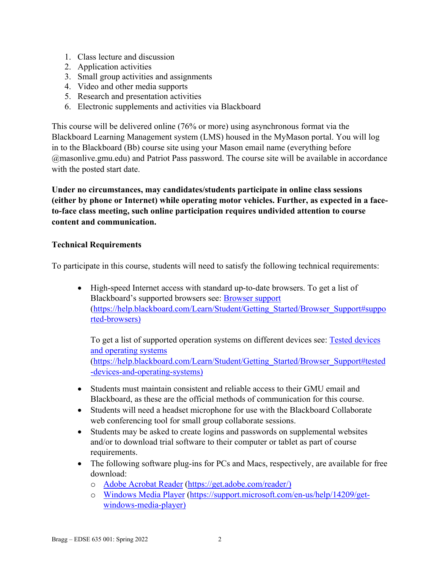- 1. Class lecture and discussion
- 2. Application activities
- 3. Small group activities and assignments
- 4. Video and other media supports
- 5. Research and presentation activities
- 6. Electronic supplements and activities via Blackboard

This course will be delivered online (76% or more) using asynchronous format via the Blackboard Learning Management system (LMS) housed in the MyMason portal. You will log in to the Blackboard (Bb) course site using your Mason email name (everything before @masonlive.gmu.edu) and Patriot Pass password. The course site will be available in accordance with the posted start date.

**Under no circumstances, may candidates/students participate in online class sessions (either by phone or Internet) while operating motor vehicles. Further, as expected in a faceto-face class meeting, such online participation requires undivided attention to course content and communication.**

# **Technical Requirements**

To participate in this course, students will need to satisfy the following technical requirements:

• High-speed Internet access with standard up-to-date browsers. To get a list of Blackboard's supported browsers see: [Browser support](https://help.blackboard.com/Learn/Student/Getting_Started/Browser_Support#supported-browsers) [\(https://help.blackboard.com/Learn/Student/Getting\\_Started/Browser\\_Support#suppo](https://help.blackboard.com/Learn/Student/Getting_Started/Browser_Support#supported-browsers) [rted-browsers\)](https://help.blackboard.com/Learn/Student/Getting_Started/Browser_Support#supported-browsers)

To get a list of supported operation systems on different devices see: [Tested devices](https://help.blackboard.com/Learn/Student/Getting_Started/Browser_Support#tested-devices-and-operating-systems)  [and operating systems](https://help.blackboard.com/Learn/Student/Getting_Started/Browser_Support#tested-devices-and-operating-systems) [\(https://help.blackboard.com/Learn/Student/Getting\\_Started/Browser\\_Support#tested](https://help.blackboard.com/Learn/Student/Getting_Started/Browser_Support#tested-devices-and-operating-systems) [-devices-and-operating-systems\)](https://help.blackboard.com/Learn/Student/Getting_Started/Browser_Support#tested-devices-and-operating-systems)

- Students must maintain consistent and reliable access to their GMU email and Blackboard, as these are the official methods of communication for this course.
- Students will need a headset microphone for use with the Blackboard Collaborate web conferencing tool for small group collaborate sessions.
- Students may be asked to create logins and passwords on supplemental websites and/or to download trial software to their computer or tablet as part of course requirements.
- The following software plug-ins for PCs and Macs, respectively, are available for free download:
	- o [Adobe Acrobat Reader](https://get.adobe.com/reader/) [\(https://get.adobe.com/reader/\)](https://get.adobe.com/reader/)
	- o [Windows Media Player](https://support.microsoft.com/en-us/help/14209/get-windows-media-player) [\(https://support.microsoft.com/en-us/help/14209/get](https://support.microsoft.com/en-us/help/14209/get-windows-media-player)[windows-media-player\)](https://support.microsoft.com/en-us/help/14209/get-windows-media-player)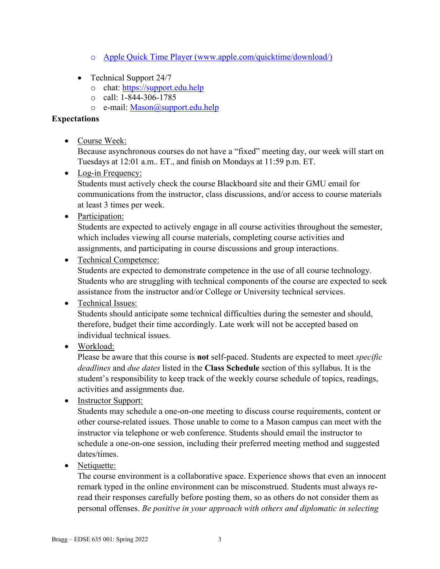- o [Apple Quick Time Player](http://www.apple.com/quicktime/download/) [\(www.apple.com/quicktime/download/\)](http://www.apple.com/quicktime/download/)
- Technical Support 24/7
	- o chat: [https://support.edu.help](https://support.edu.help/)
	- o call: 1-844-306-1785
	- o e-mail: [Mason@support.edu.help](mailto:Mason@support.edu.help)

# **Expectations**

• Course Week:

Because asynchronous courses do not have a "fixed" meeting day, our week will start on Tuesdays at 12:01 a.m.. ET., and finish on Mondays at 11:59 p.m. ET.

• Log-in Frequency:

Students must actively check the course Blackboard site and their GMU email for communications from the instructor, class discussions, and/or access to course materials at least 3 times per week.

• Participation:

Students are expected to actively engage in all course activities throughout the semester, which includes viewing all course materials, completing course activities and assignments, and participating in course discussions and group interactions.

• Technical Competence:

Students are expected to demonstrate competence in the use of all course technology. Students who are struggling with technical components of the course are expected to seek assistance from the instructor and/or College or University technical services.

• Technical Issues:

Students should anticipate some technical difficulties during the semester and should, therefore, budget their time accordingly. Late work will not be accepted based on individual technical issues.

• Workload:

Please be aware that this course is **not** self-paced. Students are expected to meet *specific deadlines* and *due dates* listed in the **Class Schedule** section of this syllabus. It is the student's responsibility to keep track of the weekly course schedule of topics, readings, activities and assignments due.

• Instructor Support:

Students may schedule a one-on-one meeting to discuss course requirements, content or other course-related issues. Those unable to come to a Mason campus can meet with the instructor via telephone or web conference. Students should email the instructor to schedule a one-on-one session, including their preferred meeting method and suggested dates/times.

• Netiquette:

The course environment is a collaborative space. Experience shows that even an innocent remark typed in the online environment can be misconstrued. Students must always reread their responses carefully before posting them, so as others do not consider them as personal offenses. *Be positive in your approach with others and diplomatic in selecting*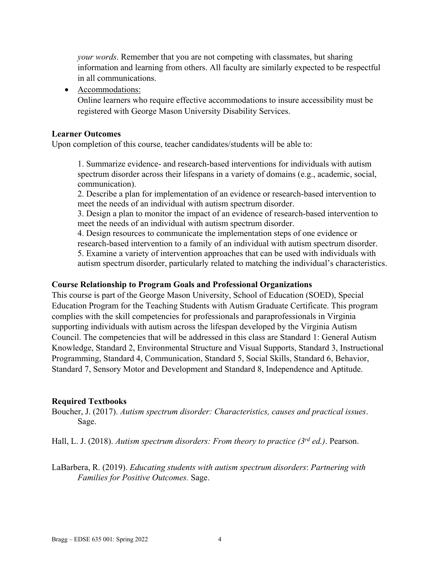*your words*. Remember that you are not competing with classmates, but sharing information and learning from others. All faculty are similarly expected to be respectful in all communications.

• Accommodations:

Online learners who require effective accommodations to insure accessibility must be registered with George Mason University Disability Services.

## **Learner Outcomes**

Upon completion of this course, teacher candidates/students will be able to:

1. Summarize evidence- and research-based interventions for individuals with autism spectrum disorder across their lifespans in a variety of domains (e.g., academic, social, communication).

2. Describe a plan for implementation of an evidence or research-based intervention to meet the needs of an individual with autism spectrum disorder.

3. Design a plan to monitor the impact of an evidence of research-based intervention to meet the needs of an individual with autism spectrum disorder.

4. Design resources to communicate the implementation steps of one evidence or research-based intervention to a family of an individual with autism spectrum disorder. 5. Examine a variety of intervention approaches that can be used with individuals with autism spectrum disorder, particularly related to matching the individual's characteristics.

### **Course Relationship to Program Goals and Professional Organizations**

This course is part of the George Mason University, School of Education (SOED), Special Education Program for the Teaching Students with Autism Graduate Certificate. This program complies with the skill competencies for professionals and paraprofessionals in Virginia supporting individuals with autism across the lifespan developed by the Virginia Autism Council. The competencies that will be addressed in this class are Standard 1: General Autism Knowledge, Standard 2, Environmental Structure and Visual Supports, Standard 3, Instructional Programming, Standard 4, Communication, Standard 5, Social Skills, Standard 6, Behavior, Standard 7, Sensory Motor and Development and Standard 8, Independence and Aptitude.

## **Required Textbooks**

Boucher, J. (2017). *Autism spectrum disorder: Characteristics, causes and practical issues*. Sage.

Hall, L. J. (2018). *Autism spectrum disorders: From theory to practice (3rd ed.)*. Pearson.

LaBarbera, R. (2019). *Educating students with autism spectrum disorders*: *Partnering with Families for Positive Outcomes.* Sage.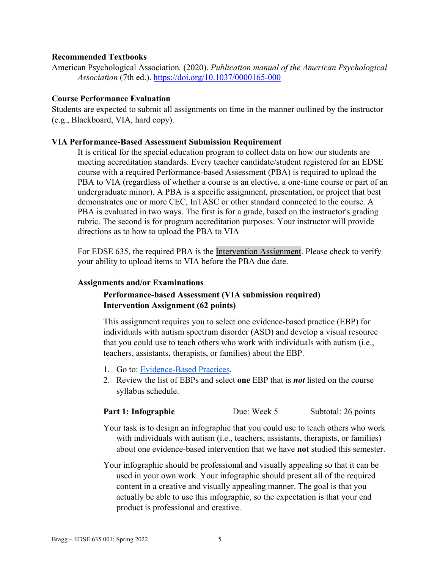### **Recommended Textbooks**

American Psychological Association*.* (2020). *Publication manual of the American Psychological Association* (7th ed.). <https://doi.org/10.1037/0000165-000>

### **Course Performance Evaluation**

Students are expected to submit all assignments on time in the manner outlined by the instructor (e.g., Blackboard, VIA, hard copy).

### **VIA Performance-Based Assessment Submission Requirement**

It is critical for the special education program to collect data on how our students are meeting accreditation standards. Every teacher candidate/student registered for an EDSE course with a required Performance-based Assessment (PBA) is required to upload the PBA to VIA (regardless of whether a course is an elective, a one-time course or part of an undergraduate minor). A PBA is a specific assignment, presentation, or project that best demonstrates one or more CEC, InTASC or other standard connected to the course. A PBA is evaluated in two ways. The first is for a grade, based on the instructor's grading rubric. The second is for program accreditation purposes. Your instructor will provide directions as to how to upload the PBA to VIA

For EDSE 635, the required PBA is the Intervention Assignment. Please check to verify your ability to upload items to VIA before the PBA due date.

### **Assignments and/or Examinations**

# **Performance-based Assessment (VIA submission required) Intervention Assignment (62 points)**

This assignment requires you to select one evidence-based practice (EBP) for individuals with autism spectrum disorder (ASD) and develop a visual resource that you could use to teach others who work with individuals with autism (i.e., teachers, assistants, therapists, or families) about the EBP.

- 1. Go to: [Evidence-Based Practices.](http://autismpdc.fpg.unc.edu/evidence-based-practices)
- 2. Review the list of EBPs and select **one** EBP that is *not* listed on the course syllabus schedule.

## **Part 1: Infographic** Due: Week 5 Subtotal: 26 points

- Your task is to design an infographic that you could use to teach others who work with individuals with autism (i.e., teachers, assistants, therapists, or families) about one evidence-based intervention that we have **not** studied this semester.
- Your infographic should be professional and visually appealing so that it can be used in your own work. Your infographic should present all of the required content in a creative and visually appealing manner. The goal is that you actually be able to use this infographic, so the expectation is that your end product is professional and creative.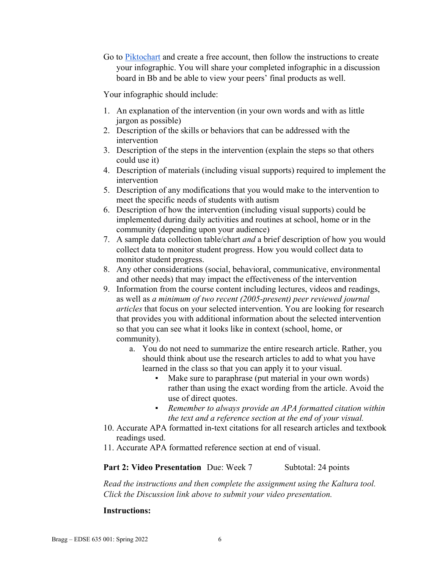Go to [Piktochart](https://piktochart.com/) and create a free account, then follow the instructions to create your infographic. You will share your completed infographic in a discussion board in Bb and be able to view your peers' final products as well.

Your infographic should include:

- 1. An explanation of the intervention (in your own words and with as little jargon as possible)
- 2. Description of the skills or behaviors that can be addressed with the intervention
- 3. Description of the steps in the intervention (explain the steps so that others could use it)
- 4. Description of materials (including visual supports) required to implement the intervention
- 5. Description of any modifications that you would make to the intervention to meet the specific needs of students with autism
- 6. Description of how the intervention (including visual supports) could be implemented during daily activities and routines at school, home or in the community (depending upon your audience)
- 7. A sample data collection table/chart *and* a brief description of how you would collect data to monitor student progress. How you would collect data to monitor student progress.
- 8. Any other considerations (social, behavioral, communicative, environmental and other needs) that may impact the effectiveness of the intervention
- 9. Information from the course content including lectures, videos and readings, as well as *a minimum of two recent (2005-present) peer reviewed journal articles* that focus on your selected intervention. You are looking for research that provides you with additional information about the selected intervention so that you can see what it looks like in context (school, home, or community).
	- a. You do not need to summarize the entire research article. Rather, you should think about use the research articles to add to what you have learned in the class so that you can apply it to your visual.
		- Make sure to paraphrase (put material in your own words) rather than using the exact wording from the article. Avoid the use of direct quotes.
		- *Remember to always provide an APA formatted citation within the text and a reference section at the end of your visual.*
- 10. Accurate APA formatted in-text citations for all research articles and textbook readings used.
- 11. Accurate APA formatted reference section at end of visual.

### **Part 2: Video Presentation** Due: Week 7 Subtotal: 24 points

*Read the instructions and then complete the assignment using the Kaltura tool. Click the Discussion link above to submit your video presentation.*

## **Instructions:**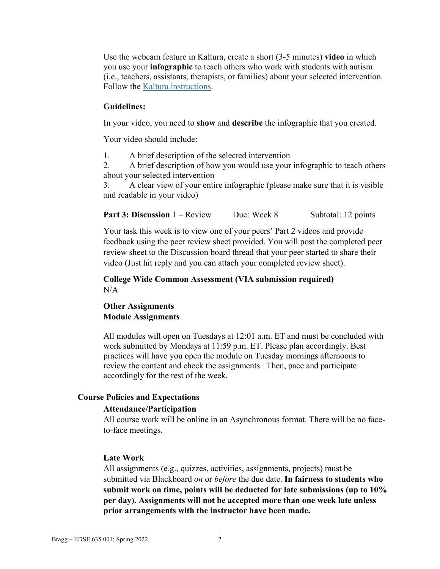Use the webcam feature in Kaltura, create a short (3-5 minutes) **video** in which you use your **infographic** to teach others who work with students with autism (i.e., teachers, assistants, therapists, or families) about your selected intervention. Follow the Kaltura [instructions.](http://coursessupport.gmu.edu/coursetools.cfm?categoryname=Kaltura)

#### **Guidelines:**

In your video, you need to **show** and **describe** the infographic that you created.

Your video should include:

1. A brief description of the selected intervention

2. A brief description of how you would use your infographic to teach others about your selected intervention

3. A clear view of your entire infographic (please make sure that it is visible and readable in your video)

**Part 3: Discussion** 1 – Review Due: Week 8 Subtotal: 12 points

Your task this week is to view one of your peers' Part 2 videos and provide feedback using the peer review sheet provided. You will post the completed peer review sheet to the Discussion board thread that your peer started to share their video (Just hit reply and you can attach your completed review sheet).

#### **College Wide Common Assessment (VIA submission required)**  $N/A$

# **Other Assignments Module Assignments**

All modules will open on Tuesdays at 12:01 a.m. ET and must be concluded with work submitted by Mondays at 11:59 p.m. ET. Please plan accordingly. Best practices will have you open the module on Tuesday mornings afternoons to review the content and check the assignments. Then, pace and participate accordingly for the rest of the week.

### **Course Policies and Expectations**

#### **Attendance/Participation**

All course work will be online in an Asynchronous format. There will be no faceto-face meetings.

#### **Late Work**

All assignments (e.g., quizzes, activities, assignments, projects) must be submitted via Blackboard *on* or *before* the due date. **In fairness to students who submit work on time, points will be deducted for late submissions (up to 10% per day). Assignments will not be accepted more than one week late unless prior arrangements with the instructor have been made.**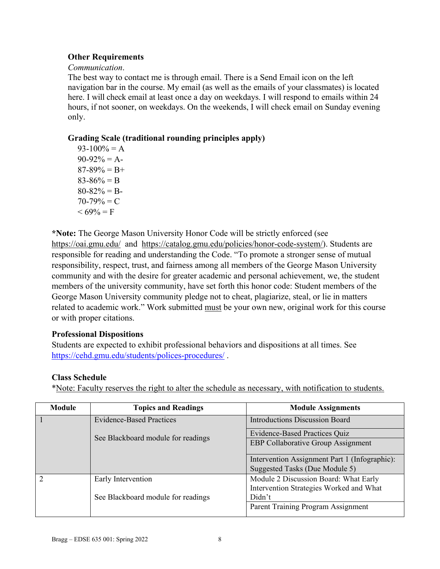# **Other Requirements**

### *Communication*.

The best way to contact me is through email. There is a Send Email icon on the left navigation bar in the course. My email (as well as the emails of your classmates) is located here. I will check email at least once a day on weekdays. I will respond to emails within 24 hours, if not sooner, on weekdays. On the weekends, I will check email on Sunday evening only.

# **Grading Scale (traditional rounding principles apply)**

 $93-100% = A$  $90-92\% = A$  $87-89\% = B+$  $83-86% = B$  $80-82% = B$  $70-79\% = C$  $< 69\% = F$ 

**\*Note:** The George Mason University Honor Code will be strictly enforced (see <https://oai.gmu.edu/> and [https://catalog.gmu.edu/policies/honor-code-system/\)](https://catalog.gmu.edu/policies/honor-code-system/). Students are responsible for reading and understanding the Code. "To promote a stronger sense of mutual responsibility, respect, trust, and fairness among all members of the George Mason University community and with the desire for greater academic and personal achievement, we, the student members of the university community, have set forth this honor code: Student members of the George Mason University community pledge not to cheat, plagiarize, steal, or lie in matters related to academic work." Work submitted must be your own new, original work for this course or with proper citations.

# **Professional Dispositions**

Students are expected to exhibit professional behaviors and dispositions at all times. See <https://cehd.gmu.edu/students/polices-procedures/> .

## **Class Schedule**

\*Note: Faculty reserves the right to alter the schedule as necessary, with notification to students.

| Module | <b>Topics and Readings</b>         | <b>Module Assignments</b>                                                       |  |
|--------|------------------------------------|---------------------------------------------------------------------------------|--|
|        | <b>Evidence-Based Practices</b>    | <b>Introductions Discussion Board</b>                                           |  |
|        | See Blackboard module for readings | <b>Evidence-Based Practices Quiz</b>                                            |  |
|        |                                    | <b>EBP Collaborative Group Assignment</b>                                       |  |
|        |                                    | Intervention Assignment Part 1 (Infographic):<br>Suggested Tasks (Due Module 5) |  |
| 2      | Early Intervention                 | Module 2 Discussion Board: What Early                                           |  |
|        |                                    | Intervention Strategies Worked and What                                         |  |
|        | See Blackboard module for readings | Didn't                                                                          |  |
|        |                                    | Parent Training Program Assignment                                              |  |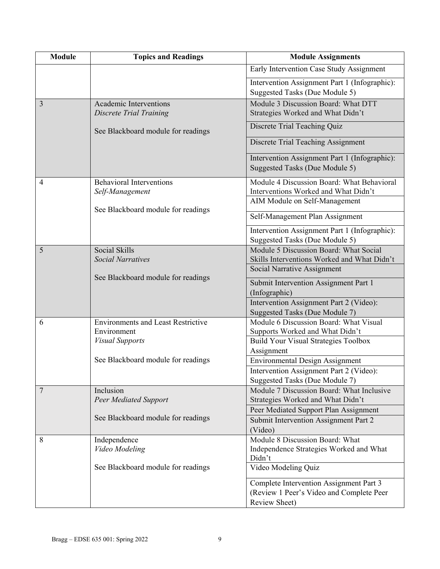| <b>Module</b>  | <b>Topics and Readings</b>                               | <b>Module Assignments</b>                                                          |
|----------------|----------------------------------------------------------|------------------------------------------------------------------------------------|
|                |                                                          | Early Intervention Case Study Assignment                                           |
|                |                                                          | Intervention Assignment Part 1 (Infographic):<br>Suggested Tasks (Due Module 5)    |
| 3              | <b>Academic Interventions</b><br>Discrete Trial Training | Module 3 Discussion Board: What DTT<br>Strategies Worked and What Didn't           |
|                | See Blackboard module for readings                       | Discrete Trial Teaching Quiz                                                       |
|                |                                                          | Discrete Trial Teaching Assignment                                                 |
|                |                                                          | Intervention Assignment Part 1 (Infographic):<br>Suggested Tasks (Due Module 5)    |
| $\overline{4}$ | <b>Behavioral Interventions</b><br>Self-Management       | Module 4 Discussion Board: What Behavioral<br>Interventions Worked and What Didn't |
|                |                                                          | AIM Module on Self-Management                                                      |
|                | See Blackboard module for readings                       | Self-Management Plan Assignment                                                    |
|                |                                                          | Intervention Assignment Part 1 (Infographic):                                      |
|                |                                                          | Suggested Tasks (Due Module 5)                                                     |
| 5              | Social Skills                                            | Module 5 Discussion Board: What Social                                             |
|                | <b>Social Narratives</b>                                 | Skills Interventions Worked and What Didn't                                        |
|                |                                                          | Social Narrative Assignment                                                        |
|                | See Blackboard module for readings                       | Submit Intervention Assignment Part 1                                              |
|                |                                                          | (Infographic)                                                                      |
|                |                                                          | Intervention Assignment Part 2 (Video):                                            |
|                |                                                          | Suggested Tasks (Due Module 7)                                                     |
| 6              | <b>Environments and Least Restrictive</b>                | Module 6 Discussion Board: What Visual                                             |
|                | Environment                                              | Supports Worked and What Didn't                                                    |
|                | <b>Visual Supports</b>                                   | <b>Build Your Visual Strategies Toolbox</b>                                        |
|                |                                                          | Assignment                                                                         |
|                | See Blackboard module for readings                       | <b>Environmental Design Assignment</b>                                             |
|                |                                                          | Intervention Assignment Part 2 (Video):                                            |
|                |                                                          | Suggested Tasks (Due Module 7)                                                     |
| $\overline{7}$ | Inclusion                                                | Module 7 Discussion Board: What Inclusive                                          |
|                | <b>Peer Mediated Support</b>                             | Strategies Worked and What Didn't                                                  |
|                | See Blackboard module for readings                       | Peer Mediated Support Plan Assignment                                              |
|                |                                                          | Submit Intervention Assignment Part 2                                              |
|                |                                                          | (Video)                                                                            |
| 8              | Independence<br>Video Modeling                           | Module 8 Discussion Board: What                                                    |
|                |                                                          | Independence Strategies Worked and What<br>Didn't                                  |
|                | See Blackboard module for readings                       | Video Modeling Quiz                                                                |
|                |                                                          | Complete Intervention Assignment Part 3                                            |
|                |                                                          | (Review 1 Peer's Video and Complete Peer                                           |
|                |                                                          | Review Sheet)                                                                      |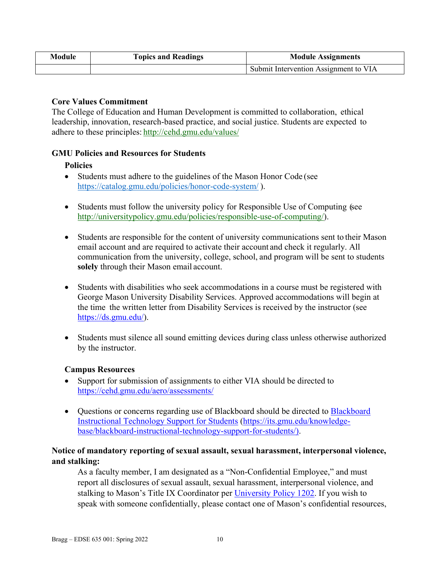| Module | <b>Topics and Readings</b> | <b>Module Assignments</b>             |  |
|--------|----------------------------|---------------------------------------|--|
|        |                            | Submit Intervention Assignment to VIA |  |

# **Core Values Commitment**

The College of Education and Human Development is committed to collaboration, ethical leadership, innovation, research-based practice, and social justice. Students are expected to adhere to these principles: <http://cehd.gmu.edu/values/>

# **GMU Policies and Resources for Students**

# **Policies**

- Students must adhere to the guidelines of the Mason Honor Code (see <https://catalog.gmu.edu/policies/honor-code-system/> ).
- Students must follow the university policy for Responsible Use of Computing (see [http://universitypolicy.gmu.edu/policies/responsible-use-of-computing/\)](http://universitypolicy.gmu.edu/policies/responsible-use-of-computing/).
- Students are responsible for the content of university communications sent to their Mason email account and are required to activate their account and check it regularly. All communication from the university, college, school, and program will be sent to students **solely** through their Mason email account.
- Students with disabilities who seek accommodations in a course must be registered with George Mason University Disability Services. Approved accommodations will begin at the time the written letter from Disability Services is received by the instructor (see [https://ds.gmu.edu/\)](https://ds.gmu.edu/).
- Students must silence all sound emitting devices during class unless otherwise authorized by the instructor.

## **Campus Resources**

- Support for submission of assignments to either VIA should be directed to <https://cehd.gmu.edu/aero/assessments/>
- Questions or concerns regarding use of [Blackboard](https://its.gmu.edu/knowledge-base/blackboard-instructional-technology-support-for-students/) should be directed to **Blackboard** [Instructional Technology Support for Students](https://its.gmu.edu/knowledge-base/blackboard-instructional-technology-support-for-students/) [\(https://its.gmu.edu/knowledge](https://its.gmu.edu/knowledge-base/blackboard-instructional-technology-support-for-students/)[base/blackboard-instructional-technology-support-for-students/\)](https://its.gmu.edu/knowledge-base/blackboard-instructional-technology-support-for-students/).

# **Notice of mandatory reporting of sexual assault, sexual harassment, interpersonal violence, and stalking:**

As a faculty member, I am designated as a "Non-Confidential Employee," and must report all disclosures of sexual assault, sexual harassment, interpersonal violence, and stalking to Mason's Title IX Coordinator per [University Policy 1202.](https://universitypolicy.gmu.edu/policies/sexual-harassment-policy/) If you wish to speak with someone confidentially, please contact one of Mason's confidential resources,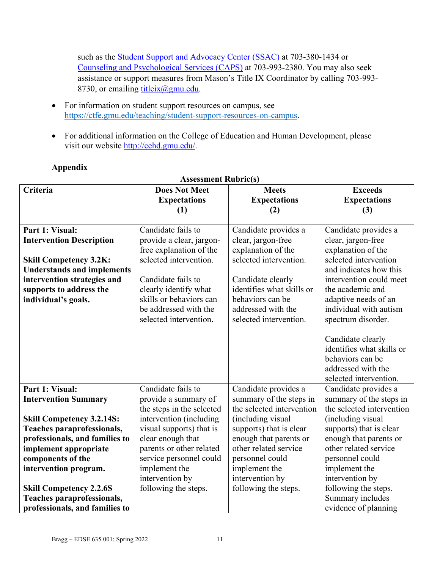such as the [Student Support and Advocacy Center \(SSAC\)](https://ssac.gmu.edu/) at 703-380-1434 or [Counseling and Psychological Services \(CAPS\)](https://caps.gmu.edu/) at 703-993-2380. You may also seek assistance or support measures from Mason's Title IX Coordinator by calling 703-993 8730, or emailing [titleix@gmu.edu.](mailto:titleix@gmu.edu)

- For information on student support resources on campus, see [https://ctfe.gmu.edu/teaching/student-support-resources-on-campus.](https://ctfe.gmu.edu/teaching/student-support-resources-on-campus)
- For additional information on the College of Education and Human Development, please visit our website [http://cehd.gmu.edu/.](https://cehd.gmu.edu/)

| <b>Assessment Rubric(s)</b>                                                                                                                                                                                                                                               |                                                                                                                                                                                                                                  |                                                                                                                                                                                                                  |                                                                                                                                                                                                                                            |
|---------------------------------------------------------------------------------------------------------------------------------------------------------------------------------------------------------------------------------------------------------------------------|----------------------------------------------------------------------------------------------------------------------------------------------------------------------------------------------------------------------------------|------------------------------------------------------------------------------------------------------------------------------------------------------------------------------------------------------------------|--------------------------------------------------------------------------------------------------------------------------------------------------------------------------------------------------------------------------------------------|
| Criteria                                                                                                                                                                                                                                                                  | <b>Does Not Meet</b><br><b>Expectations</b><br>(1)                                                                                                                                                                               | <b>Meets</b><br><b>Expectations</b><br>(2)                                                                                                                                                                       | <b>Exceeds</b><br><b>Expectations</b><br>(3)                                                                                                                                                                                               |
| Part 1: Visual:<br><b>Intervention Description</b><br><b>Skill Competency 3.2K:</b><br><b>Understands and implements</b><br>intervention strategies and<br>supports to address the<br>individual's goals.                                                                 | Candidate fails to<br>provide a clear, jargon-<br>free explanation of the<br>selected intervention.<br>Candidate fails to<br>clearly identify what<br>skills or behaviors can<br>be addressed with the<br>selected intervention. | Candidate provides a<br>clear, jargon-free<br>explanation of the<br>selected intervention.<br>Candidate clearly<br>identifies what skills or<br>behaviors can be<br>addressed with the<br>selected intervention. | Candidate provides a<br>clear, jargon-free<br>explanation of the<br>selected intervention<br>and indicates how this<br>intervention could meet<br>the academic and<br>adaptive needs of an<br>individual with autism<br>spectrum disorder. |
|                                                                                                                                                                                                                                                                           |                                                                                                                                                                                                                                  |                                                                                                                                                                                                                  | Candidate clearly<br>identifies what skills or<br>behaviors can be<br>addressed with the<br>selected intervention.                                                                                                                         |
| Part 1: Visual:<br><b>Intervention Summary</b>                                                                                                                                                                                                                            | Candidate fails to<br>provide a summary of<br>the steps in the selected                                                                                                                                                          | Candidate provides a<br>summary of the steps in<br>the selected intervention                                                                                                                                     | Candidate provides a<br>summary of the steps in<br>the selected intervention                                                                                                                                                               |
| <b>Skill Competency 3.2.14S:</b><br>Teaches paraprofessionals,<br>professionals, and families to<br>implement appropriate<br>components of the<br>intervention program.<br><b>Skill Competency 2.2.6S</b><br>Teaches paraprofessionals,<br>professionals, and families to | intervention (including<br>visual supports) that is<br>clear enough that<br>parents or other related<br>service personnel could<br>implement the<br>intervention by<br>following the steps.                                      | (including visual<br>supports) that is clear<br>enough that parents or<br>other related service<br>personnel could<br>implement the<br>intervention by<br>following the steps.                                   | (including visual<br>supports) that is clear<br>enough that parents or<br>other related service<br>personnel could<br>implement the<br>intervention by<br>following the steps.<br>Summary includes<br>evidence of planning                 |

# **Appendix**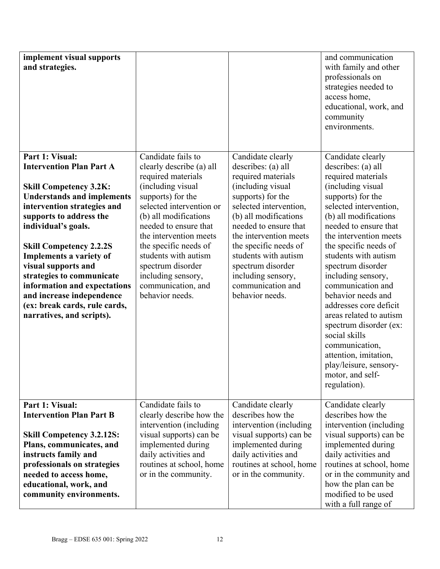| implement visual supports<br>and strategies.                                                                                                                                                                                                                                                                                                                                                                                                          |                                                                                                                                                                                                                                                                                                                                                             |                                                                                                                                                                                                                                                                                                                                                   | and communication<br>with family and other<br>professionals on<br>strategies needed to<br>access home,<br>educational, work, and<br>community<br>environments.                                                                                                                                                                                                                                                                                                                                                                                                |
|-------------------------------------------------------------------------------------------------------------------------------------------------------------------------------------------------------------------------------------------------------------------------------------------------------------------------------------------------------------------------------------------------------------------------------------------------------|-------------------------------------------------------------------------------------------------------------------------------------------------------------------------------------------------------------------------------------------------------------------------------------------------------------------------------------------------------------|---------------------------------------------------------------------------------------------------------------------------------------------------------------------------------------------------------------------------------------------------------------------------------------------------------------------------------------------------|---------------------------------------------------------------------------------------------------------------------------------------------------------------------------------------------------------------------------------------------------------------------------------------------------------------------------------------------------------------------------------------------------------------------------------------------------------------------------------------------------------------------------------------------------------------|
| Part 1: Visual:<br><b>Intervention Plan Part A</b><br><b>Skill Competency 3.2K:</b><br><b>Understands and implements</b><br>intervention strategies and<br>supports to address the<br>individual's goals.<br><b>Skill Competency 2.2.2S</b><br>Implements a variety of<br>visual supports and<br>strategies to communicate<br>information and expectations<br>and increase independence<br>(ex: break cards, rule cards,<br>narratives, and scripts). | Candidate fails to<br>clearly describe (a) all<br>required materials<br>(including visual<br>supports) for the<br>selected intervention or<br>(b) all modifications<br>needed to ensure that<br>the intervention meets<br>the specific needs of<br>students with autism<br>spectrum disorder<br>including sensory,<br>communication, and<br>behavior needs. | Candidate clearly<br>describes: (a) all<br>required materials<br>(including visual<br>supports) for the<br>selected intervention,<br>(b) all modifications<br>needed to ensure that<br>the intervention meets<br>the specific needs of<br>students with autism<br>spectrum disorder<br>including sensory,<br>communication and<br>behavior needs. | Candidate clearly<br>describes: (a) all<br>required materials<br>(including visual<br>supports) for the<br>selected intervention,<br>(b) all modifications<br>needed to ensure that<br>the intervention meets<br>the specific needs of<br>students with autism<br>spectrum disorder<br>including sensory,<br>communication and<br>behavior needs and<br>addresses core deficit<br>areas related to autism<br>spectrum disorder (ex:<br>social skills<br>communication,<br>attention, imitation,<br>play/leisure, sensory-<br>motor, and self-<br>regulation). |
| Part 1: Visual:<br><b>Intervention Plan Part B</b><br><b>Skill Competency 3.2.12S:</b><br>Plans, communicates, and<br>instructs family and<br>professionals on strategies<br>needed to access home,<br>educational, work, and<br>community environments.                                                                                                                                                                                              | Candidate fails to<br>clearly describe how the<br>intervention (including<br>visual supports) can be<br>implemented during<br>daily activities and<br>routines at school, home<br>or in the community.                                                                                                                                                      | Candidate clearly<br>describes how the<br>intervention (including<br>visual supports) can be<br>implemented during<br>daily activities and<br>routines at school, home<br>or in the community.                                                                                                                                                    | Candidate clearly<br>describes how the<br>intervention (including<br>visual supports) can be<br>implemented during<br>daily activities and<br>routines at school, home<br>or in the community and<br>how the plan can be<br>modified to be used<br>with a full range of                                                                                                                                                                                                                                                                                       |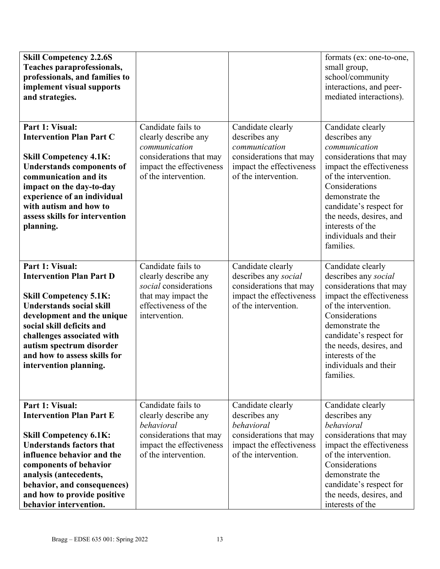| <b>Skill Competency 2.2.6S</b><br>Teaches paraprofessionals,<br>professionals, and families to<br>implement visual supports<br>and strategies.                                                                                                                                                        |                                                                                                                                            |                                                                                                                                    | formats (ex: one-to-one,<br>small group,<br>school/community<br>interactions, and peer-<br>mediated interactions).                                                                                                                                                                      |
|-------------------------------------------------------------------------------------------------------------------------------------------------------------------------------------------------------------------------------------------------------------------------------------------------------|--------------------------------------------------------------------------------------------------------------------------------------------|------------------------------------------------------------------------------------------------------------------------------------|-----------------------------------------------------------------------------------------------------------------------------------------------------------------------------------------------------------------------------------------------------------------------------------------|
| Part 1: Visual:<br><b>Intervention Plan Part C</b><br><b>Skill Competency 4.1K:</b><br><b>Understands components of</b><br>communication and its<br>impact on the day-to-day<br>experience of an individual<br>with autism and how to<br>assess skills for intervention<br>planning.                  | Candidate fails to<br>clearly describe any<br>communication<br>considerations that may<br>impact the effectiveness<br>of the intervention. | Candidate clearly<br>describes any<br>communication<br>considerations that may<br>impact the effectiveness<br>of the intervention. | Candidate clearly<br>describes any<br>communication<br>considerations that may<br>impact the effectiveness<br>of the intervention.<br>Considerations<br>demonstrate the<br>candidate's respect for<br>the needs, desires, and<br>interests of the<br>individuals and their<br>families. |
| Part 1: Visual:<br><b>Intervention Plan Part D</b><br><b>Skill Competency 5.1K:</b><br><b>Understands social skill</b><br>development and the unique<br>social skill deficits and<br>challenges associated with<br>autism spectrum disorder<br>and how to assess skills for<br>intervention planning. | Candidate fails to<br>clearly describe any<br>social considerations<br>that may impact the<br>effectiveness of the<br>intervention.        | Candidate clearly<br>describes any social<br>considerations that may<br>impact the effectiveness<br>of the intervention.           | Candidate clearly<br>describes any social<br>considerations that may<br>impact the effectiveness<br>of the intervention.<br>Considerations<br>demonstrate the<br>candidate's respect for<br>the needs, desires, and<br>interests of the<br>individuals and their<br>families.           |
| Part 1: Visual:<br><b>Intervention Plan Part E</b><br><b>Skill Competency 6.1K:</b><br><b>Understands factors that</b><br>influence behavior and the<br>components of behavior<br>analysis (antecedents,<br>behavior, and consequences)<br>and how to provide positive<br>behavior intervention.      | Candidate fails to<br>clearly describe any<br>behavioral<br>considerations that may<br>impact the effectiveness<br>of the intervention.    | Candidate clearly<br>describes any<br>behavioral<br>considerations that may<br>impact the effectiveness<br>of the intervention.    | Candidate clearly<br>describes any<br>behavioral<br>considerations that may<br>impact the effectiveness<br>of the intervention.<br>Considerations<br>demonstrate the<br>candidate's respect for<br>the needs, desires, and<br>interests of the                                          |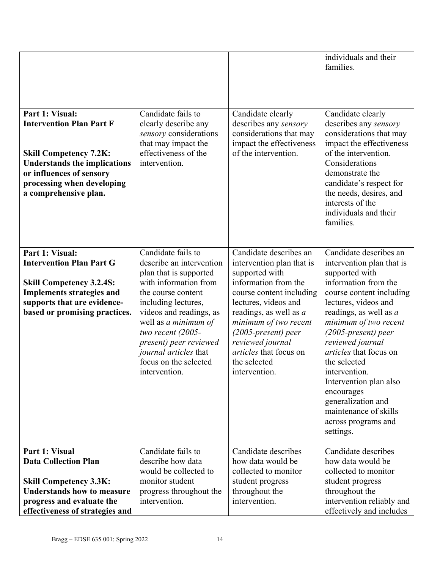| Part 1: Visual:<br><b>Intervention Plan Part F</b><br><b>Skill Competency 7.2K:</b><br><b>Understands the implications</b><br>or influences of sensory<br>processing when developing<br>a comprehensive plan. | Candidate fails to<br>clearly describe any<br>sensory considerations<br>that may impact the<br>effectiveness of the<br>intervention.                                                                                                                                                                                   | Candidate clearly<br>describes any sensory<br>considerations that may<br>impact the effectiveness<br>of the intervention.                                                                                                                                                                                             | individuals and their<br>families.<br>Candidate clearly<br>describes any sensory<br>considerations that may<br>impact the effectiveness<br>of the intervention.<br>Considerations<br>demonstrate the<br>candidate's respect for<br>the needs, desires, and<br>interests of the<br>individuals and their<br>families.                                                                                                                     |
|---------------------------------------------------------------------------------------------------------------------------------------------------------------------------------------------------------------|------------------------------------------------------------------------------------------------------------------------------------------------------------------------------------------------------------------------------------------------------------------------------------------------------------------------|-----------------------------------------------------------------------------------------------------------------------------------------------------------------------------------------------------------------------------------------------------------------------------------------------------------------------|------------------------------------------------------------------------------------------------------------------------------------------------------------------------------------------------------------------------------------------------------------------------------------------------------------------------------------------------------------------------------------------------------------------------------------------|
| Part 1: Visual:<br><b>Intervention Plan Part G</b><br><b>Skill Competency 3.2.4S:</b><br><b>Implements strategies and</b><br>supports that are evidence-<br>based or promising practices.                     | Candidate fails to<br>describe an intervention<br>plan that is supported<br>with information from<br>the course content<br>including lectures,<br>videos and readings, as<br>well as a minimum of<br>two recent $(2005 -$<br>present) peer reviewed<br>journal articles that<br>focus on the selected<br>intervention. | Candidate describes an<br>intervention plan that is<br>supported with<br>information from the<br>course content including<br>lectures, videos and<br>readings, as well as $a$<br>minimum of two recent<br>$(2005\text{-}present)$ peer<br>reviewed journal<br>articles that focus on<br>the selected<br>intervention. | Candidate describes an<br>intervention plan that is<br>supported with<br>information from the<br>course content including<br>lectures, videos and<br>readings, as well as a<br>minimum of two recent<br>$(2005$ -present) peer<br>reviewed journal<br>articles that focus on<br>the selected<br>intervention.<br>Intervention plan also<br>encourages<br>generalization and<br>maintenance of skills<br>across programs and<br>settings. |
| Part 1: Visual<br><b>Data Collection Plan</b><br><b>Skill Competency 3.3K:</b><br><b>Understands how to measure</b><br>progress and evaluate the<br>effectiveness of strategies and                           | Candidate fails to<br>describe how data<br>would be collected to<br>monitor student<br>progress throughout the<br>intervention.                                                                                                                                                                                        | Candidate describes<br>how data would be<br>collected to monitor<br>student progress<br>throughout the<br>intervention.                                                                                                                                                                                               | Candidate describes<br>how data would be<br>collected to monitor<br>student progress<br>throughout the<br>intervention reliably and<br>effectively and includes                                                                                                                                                                                                                                                                          |